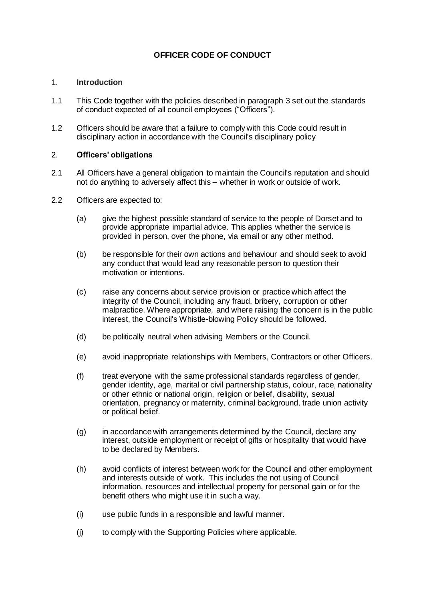# **OFFICER CODE OF CONDUCT**

#### 1. **Introduction**

- 1.1 This Code together with the policies described in paragraph 3 set out the standards of conduct expected of all council employees ("Officers").
- 1.2 Officers should be aware that a failure to comply with this Code could result in disciplinary action in accordance with the Council's disciplinary policy

#### 2. **Officers' obligations**

- 2.1 All Officers have a general obligation to maintain the Council's reputation and should not do anything to adversely affect this – whether in work or outside of work.
- 2.2 Officers are expected to:
	- (a) give the highest possible standard of service to the people of Dorset and to provide appropriate impartial advice. This applies whether the service is provided in person, over the phone, via email or any other method.
	- (b) be responsible for their own actions and [behaviour](https://dorsetcc.sharepoint.com/sites/intranet/findoutabout/Pages/Our-behaviours.aspx) and should seek to avoid any conduct that would lead any reasonable person to question their motivation or intentions.
	- (c) raise any concerns about service provision or practice which affect the integrity of the Council, including any fraud, bribery, corruption or other malpractice. Where appropriate, and where raising the concern is in the public interest, the Council's Whistle-blowing Policy should be followed.
	- (d) be politically neutral when advising Members or the Council.
	- (e) avoid inappropriate relationships with Members, Contractors or other Officers.
	- (f) treat everyone with the same professional standards regardless of gender, gender identity, age, marital or civil partnership status, colour, race, nationality or other ethnic or national origin, religion or belief, disability, sexual orientation, pregnancy or maternity, criminal background, trade union activity or political belief.
	- (g) in accordance with arrangements determined by the Council, declare any interest, outside employment or receipt of gifts or hospitality that would have to be declared by Members.
	- (h) avoid conflicts of interest between work for the Council and other employment and interests outside of work. This includes the not using of Council information, resources and intellectual property for personal gain or for the benefit others who might use it in such a way.
	- (i) use public funds in a responsible and lawful manner.
	- (j) to comply with the Supporting Policies where applicable.